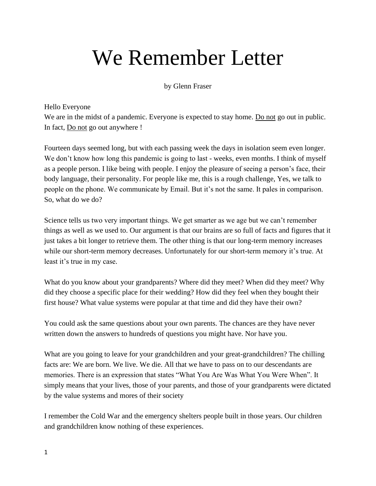## We Remember Letter

by Glenn Fraser

Hello Everyone

We are in the midst of a pandemic. Everyone is expected to stay home. Do not go out in public. In fact, Do not go out anywhere !

Fourteen days seemed long, but with each passing week the days in isolation seem even longer. We don't know how long this pandemic is going to last - weeks, even months. I think of myself as a people person. I like being with people. I enjoy the pleasure of seeing a person's face, their body language, their personality. For people like me, this is a rough challenge, Yes, we talk to people on the phone. We communicate by Email. But it's not the same. It pales in comparison. So, what do we do?

Science tells us two very important things. We get smarter as we age but we can't remember things as well as we used to. Our argument is that our brains are so full of facts and figures that it just takes a bit longer to retrieve them. The other thing is that our long-term memory increases while our short-term memory decreases. Unfortunately for our short-term memory it's true. At least it's true in my case.

What do you know about your grandparents? Where did they meet? When did they meet? Why did they choose a specific place for their wedding? How did they feel when they bought their first house? What value systems were popular at that time and did they have their own?

You could ask the same questions about your own parents. The chances are they have never written down the answers to hundreds of questions you might have. Nor have you.

What are you going to leave for your grandchildren and your great-grandchildren? The chilling facts are: We are born. We live. We die. All that we have to pass on to our descendants are memories. There is an expression that states "What You Are Was What You Were When". It simply means that your lives, those of your parents, and those of your grandparents were dictated by the value systems and mores of their society

I remember the Cold War and the emergency shelters people built in those years. Our children and grandchildren know nothing of these experiences.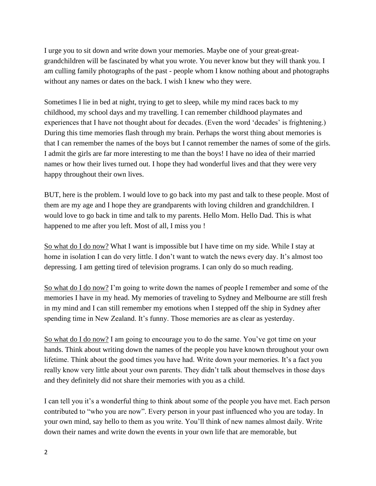I urge you to sit down and write down your memories. Maybe one of your great-greatgrandchildren will be fascinated by what you wrote. You never know but they will thank you. I am culling family photographs of the past - people whom I know nothing about and photographs without any names or dates on the back. I wish I knew who they were.

Sometimes I lie in bed at night, trying to get to sleep, while my mind races back to my childhood, my school days and my travelling. I can remember childhood playmates and experiences that I have not thought about for decades. (Even the word 'decades' is frightening.) During this time memories flash through my brain. Perhaps the worst thing about memories is that I can remember the names of the boys but I cannot remember the names of some of the girls. I admit the girls are far more interesting to me than the boys! I have no idea of their married names or how their lives turned out. I hope they had wonderful lives and that they were very happy throughout their own lives.

BUT, here is the problem. I would love to go back into my past and talk to these people. Most of them are my age and I hope they are grandparents with loving children and grandchildren. I would love to go back in time and talk to my parents. Hello Mom. Hello Dad. This is what happened to me after you left. Most of all, I miss you !

So what do I do now? What I want is impossible but I have time on my side. While I stay at home in isolation I can do very little. I don't want to watch the news every day. It's almost too depressing. I am getting tired of television programs. I can only do so much reading.

So what do I do now? I'm going to write down the names of people I remember and some of the memories I have in my head. My memories of traveling to Sydney and Melbourne are still fresh in my mind and I can still remember my emotions when I stepped off the ship in Sydney after spending time in New Zealand. It's funny. Those memories are as clear as yesterday.

So what do I do now? I am going to encourage you to do the same. You've got time on your hands. Think about writing down the names of the people you have known throughout your own lifetime. Think about the good times you have had. Write down your memories. It's a fact you really know very little about your own parents. They didn't talk about themselves in those days and they definitely did not share their memories with you as a child.

I can tell you it's a wonderful thing to think about some of the people you have met. Each person contributed to "who you are now". Every person in your past influenced who you are today. In your own mind, say hello to them as you write. You'll think of new names almost daily. Write down their names and write down the events in your own life that are memorable, but